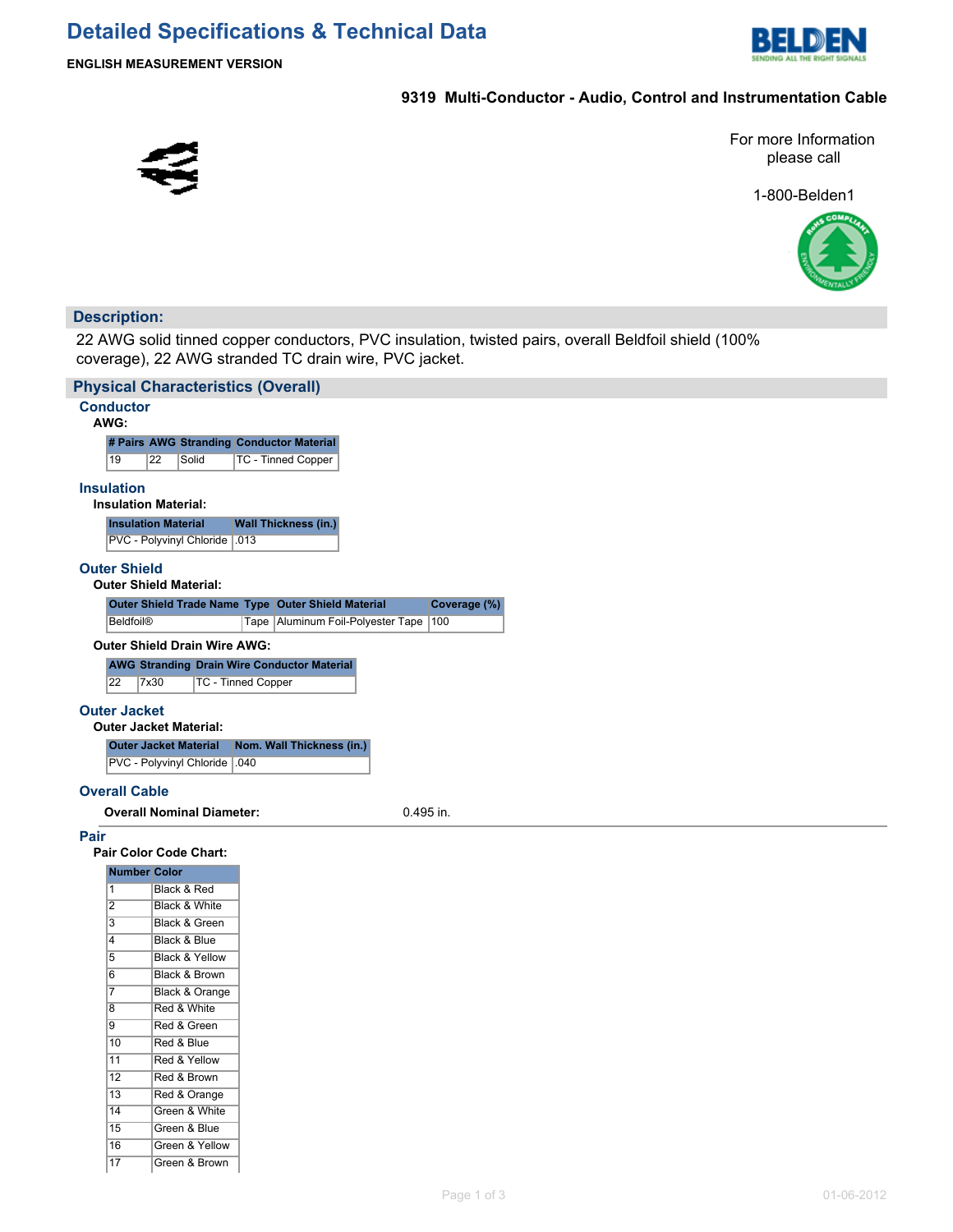

## **9319 Multi-Conductor - Audio, Control and Instrumentation Cable**



13 Red & Orange 14 Green & White 15 Green & Blue 16 Green & Yellow 17 Green & Brown For more Information please call

1-800-Belden1



## **Description:**

22 AWG solid tinned copper conductors, PVC insulation, twisted pairs, overall Beldfoil shield (100% coverage), 22 AWG stranded TC drain wire, PVC jacket.

|                                               | <b>Physical Characteristics (Overall)</b> |                                                                    |  |  |  |  |  |
|-----------------------------------------------|-------------------------------------------|--------------------------------------------------------------------|--|--|--|--|--|
| <b>Conductor</b><br>AWG:                      |                                           |                                                                    |  |  |  |  |  |
|                                               |                                           | # Pairs AWG Stranding Conductor Material                           |  |  |  |  |  |
| 19                                            | 22<br>Solid                               | <b>TC - Tinned Copper</b>                                          |  |  |  |  |  |
| <b>Insulation</b>                             |                                           |                                                                    |  |  |  |  |  |
|                                               | <b>Insulation Material:</b>               |                                                                    |  |  |  |  |  |
|                                               | <b>Insulation Material</b>                | <b>Wall Thickness (in.)</b>                                        |  |  |  |  |  |
|                                               | PVC - Polyvinyl Chloride                  | .013                                                               |  |  |  |  |  |
| <b>Outer Shield</b>                           |                                           |                                                                    |  |  |  |  |  |
|                                               | <b>Outer Shield Material:</b>             |                                                                    |  |  |  |  |  |
|                                               |                                           | Outer Shield Trade Name Type Outer Shield Material<br>Coverage (%) |  |  |  |  |  |
| <b>Beldfoil®</b>                              |                                           | Tape   Aluminum Foil-Polyester Tape   100                          |  |  |  |  |  |
|                                               | <b>Outer Shield Drain Wire AWG:</b>       |                                                                    |  |  |  |  |  |
|                                               |                                           | <b>AWG Stranding Drain Wire Conductor Material</b>                 |  |  |  |  |  |
| $\overline{22}$                               | 7x30                                      | <b>TC - Tinned Copper</b>                                          |  |  |  |  |  |
| <b>Outer Jacket</b>                           |                                           |                                                                    |  |  |  |  |  |
|                                               | <b>Outer Jacket Material:</b>             |                                                                    |  |  |  |  |  |
|                                               | <b>Outer Jacket Material</b>              | Nom. Wall Thickness (in.)                                          |  |  |  |  |  |
|                                               | PVC - Polyvinyl Chloride   .040           |                                                                    |  |  |  |  |  |
|                                               |                                           |                                                                    |  |  |  |  |  |
| <b>Overall Cable</b>                          |                                           |                                                                    |  |  |  |  |  |
| <b>Overall Nominal Diameter:</b><br>0.495 in. |                                           |                                                                    |  |  |  |  |  |
| Pair                                          | Pair Color Code Chart:                    |                                                                    |  |  |  |  |  |
|                                               | <b>Number Color</b>                       |                                                                    |  |  |  |  |  |
| $\mathbf{1}$                                  | Black & Red                               |                                                                    |  |  |  |  |  |
| $\overline{2}$                                | Black & White                             |                                                                    |  |  |  |  |  |
| $\overline{\mathbf{3}}$                       | Black & Green                             |                                                                    |  |  |  |  |  |
| 4                                             | Black & Blue                              |                                                                    |  |  |  |  |  |
| $\overline{5}$                                | <b>Black &amp; Yellow</b>                 |                                                                    |  |  |  |  |  |
| $6\overline{6}$                               | Black & Brown                             |                                                                    |  |  |  |  |  |
| $\overline{7}$                                | Black & Orange                            |                                                                    |  |  |  |  |  |
| $\overline{8}$                                | Red & White                               |                                                                    |  |  |  |  |  |
| $\overline{9}$                                | Red & Green                               |                                                                    |  |  |  |  |  |
| 10                                            | Red & Blue                                |                                                                    |  |  |  |  |  |
| 11<br>$\overline{12}$                         | Red & Yellow<br>Red & Brown               |                                                                    |  |  |  |  |  |
|                                               |                                           |                                                                    |  |  |  |  |  |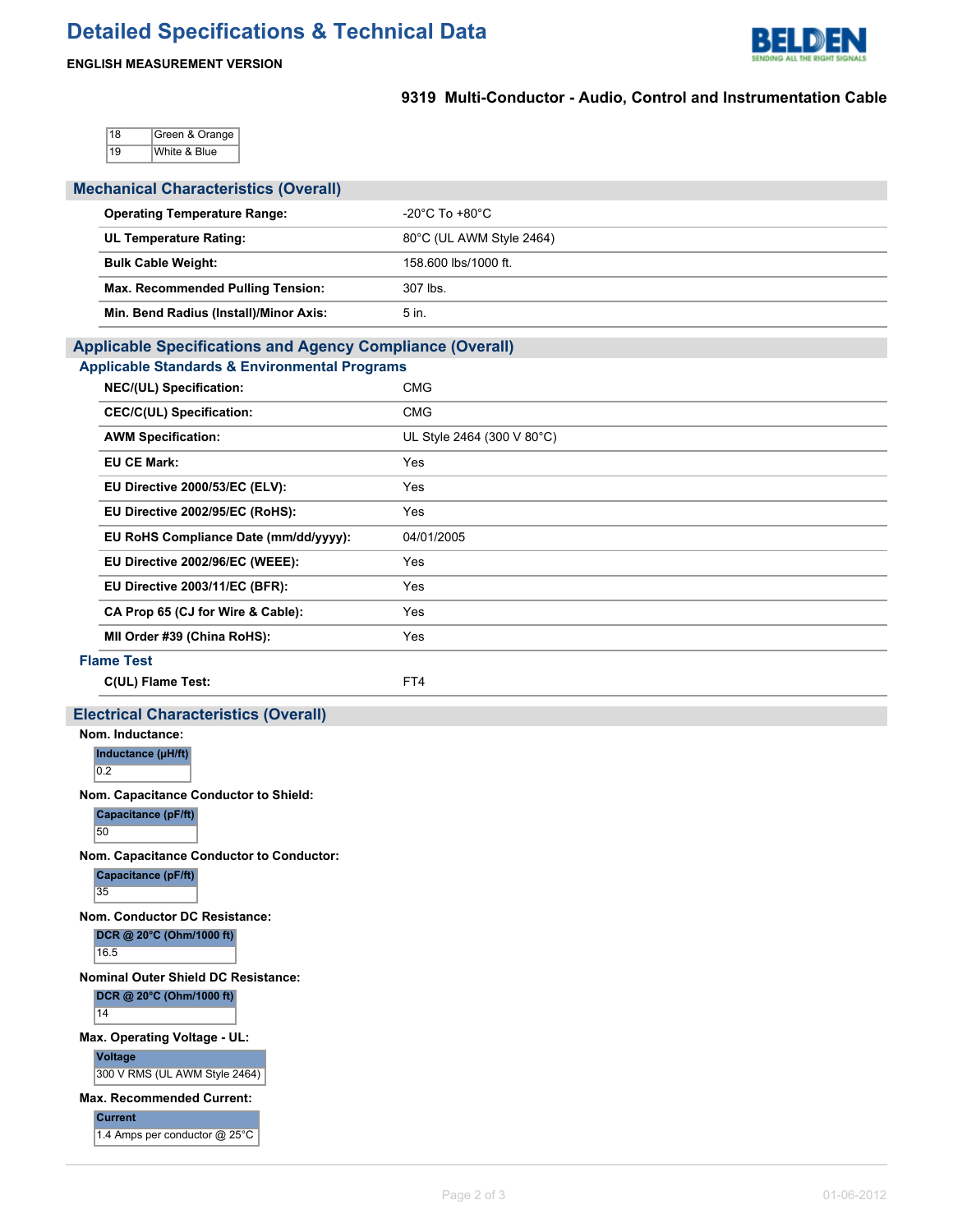

## **ENGLISH MEASUREMENT VERSION**

# **9319 Multi-Conductor - Audio, Control and Instrumentation Cable**

18 Green & Orange 19 White & Blue

| <b>Mechanical Characteristics (Overall)</b>                                                         |                            |  |  |  |  |  |  |  |
|-----------------------------------------------------------------------------------------------------|----------------------------|--|--|--|--|--|--|--|
| <b>Operating Temperature Range:</b>                                                                 | -20°C To +80°C             |  |  |  |  |  |  |  |
| <b>UL Temperature Rating:</b>                                                                       | 80°C (UL AWM Style 2464)   |  |  |  |  |  |  |  |
| <b>Bulk Cable Weight:</b>                                                                           | 158.600 lbs/1000 ft.       |  |  |  |  |  |  |  |
| Max. Recommended Pulling Tension:                                                                   | 307 lbs.                   |  |  |  |  |  |  |  |
| Min. Bend Radius (Install)/Minor Axis:                                                              | 5 in.                      |  |  |  |  |  |  |  |
| <b>Applicable Specifications and Agency Compliance (Overall)</b>                                    |                            |  |  |  |  |  |  |  |
| <b>Applicable Standards &amp; Environmental Programs</b>                                            |                            |  |  |  |  |  |  |  |
| NEC/(UL) Specification:                                                                             | <b>CMG</b>                 |  |  |  |  |  |  |  |
| <b>CEC/C(UL) Specification:</b>                                                                     | <b>CMG</b>                 |  |  |  |  |  |  |  |
| <b>AWM Specification:</b>                                                                           | UL Style 2464 (300 V 80°C) |  |  |  |  |  |  |  |
| <b>EU CE Mark:</b>                                                                                  | Yes                        |  |  |  |  |  |  |  |
| EU Directive 2000/53/EC (ELV):                                                                      | Yes                        |  |  |  |  |  |  |  |
| EU Directive 2002/95/EC (RoHS):                                                                     | Yes                        |  |  |  |  |  |  |  |
| EU RoHS Compliance Date (mm/dd/yyyy):                                                               | 04/01/2005                 |  |  |  |  |  |  |  |
| EU Directive 2002/96/EC (WEEE):                                                                     | Yes                        |  |  |  |  |  |  |  |
| EU Directive 2003/11/EC (BFR):                                                                      | Yes                        |  |  |  |  |  |  |  |
| CA Prop 65 (CJ for Wire & Cable):                                                                   | Yes                        |  |  |  |  |  |  |  |
| MII Order #39 (China RoHS):                                                                         | Yes                        |  |  |  |  |  |  |  |
| <b>Flame Test</b>                                                                                   |                            |  |  |  |  |  |  |  |
| C(UL) Flame Test:                                                                                   | FT4                        |  |  |  |  |  |  |  |
| <b>Electrical Characteristics (Overall)</b>                                                         |                            |  |  |  |  |  |  |  |
| Nom. Inductance:<br>Inductance (µH/ft)<br>$\overline{0.2}$<br>Nom. Capacitance Conductor to Shield: |                            |  |  |  |  |  |  |  |
| Capacitance (pF/ft)<br>50                                                                           |                            |  |  |  |  |  |  |  |
| Nom. Capacitance Conductor to Conductor:<br>Capacitance (pF/ft)<br>35                               |                            |  |  |  |  |  |  |  |
| Nom. Conductor DC Resistance:<br>DCR @ 20°C (Ohm/1000 ft)<br>16.5                                   |                            |  |  |  |  |  |  |  |
| <b>Nominal Outer Shield DC Resistance:</b><br>DCR @ 20°C (Ohm/1000 ft)<br>14                        |                            |  |  |  |  |  |  |  |
| Max. Operating Voltage - UL:<br>Voltage<br>300 V RMS (UL AWM Style 2464)                            |                            |  |  |  |  |  |  |  |
| <b>Max. Recommended Current:</b><br><b>Current</b>                                                  |                            |  |  |  |  |  |  |  |